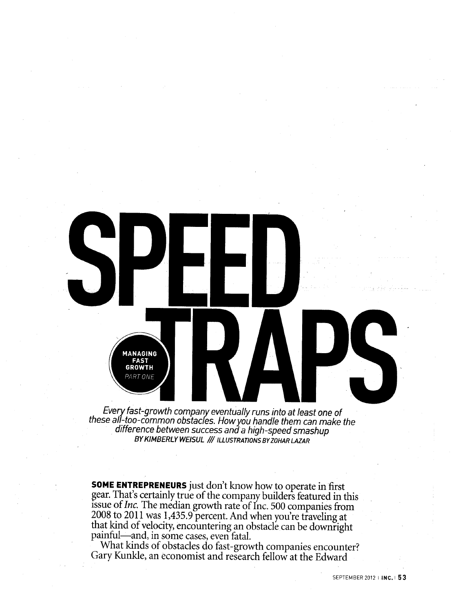

Every fast-growth company eventually runs into at least one of these ali-too-common obstacles. How you handle them can make the difference between success and a high-speed smashup **BYKIMBERLY WEISUL /// ILLUSTRATIONS BYZOHAR LAZAR**

**SOME ENTREPRENEURS** just don't know how to operate in first gear. That's certainly true of the company builders featured in this issue *of Inc.* The median growth rate of Inc. 500 companies from 2008 to 2011 was 1,435.9 percent. And when you're traveling at that kind of velocity, encountering an obstacle can be downright painful—and, in some cases, even fatal.

What kinds of obstacles do fast-growth companies encounter? Gary Kunkle, an economist and research fellow at the Edward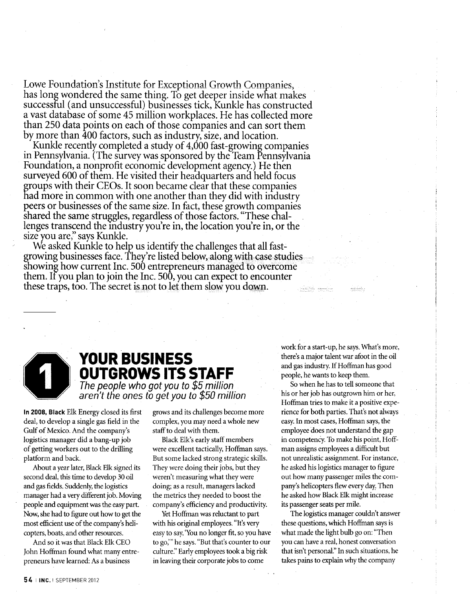Lowe Foundation's Institute for Exceptional Growth Companies, has long wondered the same thing. To get deeper inside what makes successful (and unsuccessful) businesses tick, Kunkle has constructed a vast database of some 45 million workplaces. He has collected more than 250 data points on each of those companies and can sort them by more than 400 factors, such as industry, size, and location.

Kunkle recently completed a study of 4,000 fast-growing companies in Pennsylvania. (The survey was sponsored by the Team Pennsylvania Foundation, a nonprofit economic development agency.) He then surveyed 600 of them. He visited their headquarters and held focus groups with their CEOs. It soon became clear that these companies had more in common with one another than they did with industry peers or businesses of the same size. In fact, these growth companies shared the same struggles, regardless of those factors. "These challenges transcend the industry you're in, the location you're in, or the size you are," says Kunkle.

We asked Kunkle to help us identify the challenges that all fastgrowing businesses face. They're listed below, along with case studies showing how current Inc. 500 entrepreneurs managed to overcome them. If you plan to join the Inc. 500, you can expect to encounter these traps, too. The secret is not to let them slow you down.



# **YOUR BUSINESS OUTGROWS ITS STAFF** The people who got you to \$5 million

aren't the ones to get you to \$50 million

**In 2008, Black** Elk Energy closed its first deal, to develop a single gas field in the Gulf of Mexico. And the company's logistics manager did a bang-up job of getting workers out to the drilling platform and back.

About a year later, Black Elk signed its second deal, this time to develop 30 oil and gas fields. Suddenly, the logistics manager had a very different job. Moving people and equipment was the easy part Now, she had to figure out how to get the most efficient use of the company's helicopters, boats, and other resources.

And so it was that Black Elk CEO John Hoffman found what many entrepreneurs have learned: As a business

grows and its challenges become more complex, you may need a whole new staff to deal with them.

Black Elk's early staff members were excellent tactically, Hoffman says. But some lacked strong strategic skills. They were doing their jobs, but they weren't measuring what they were doing; as a result, managers lacked the metrics they needed to boost the company's efficiency and productivity.

Yet Hoffman was reluctant to part with his original employees. "It's very easy to say, 'You no longer fit, so you have to go,'" he says. "But that's counter to our culture." Early employees took a big risk in leaving their corporate jobs to come

work for a start-up, he says. What's more, there's a major talent war afoot in the oil and gas industry. If Hoffman has good people, he wants to keep them.

So when he has to tell someone that his or her job has outgrown him or her, Hoffman tries to make it a positive experience for both parties. That's not always easy. In most cases, Hoffman says, the employee does not understand the gap in competency. To make his point, Hoffman assigns employees a difficult but not unrealistic assignment. For instance, he asked his logistics manager to figure out how many passenger miles the company's helicopters flew every day. Then he asked how Black Elk might increase its passenger seats per mile.

The logistics manager couldn't answer these questions, which Hoffman says is what made the light bulb go on: "Then you can have a real, honest conversation that isn't personal." In such situations, he takes pains to explain why the company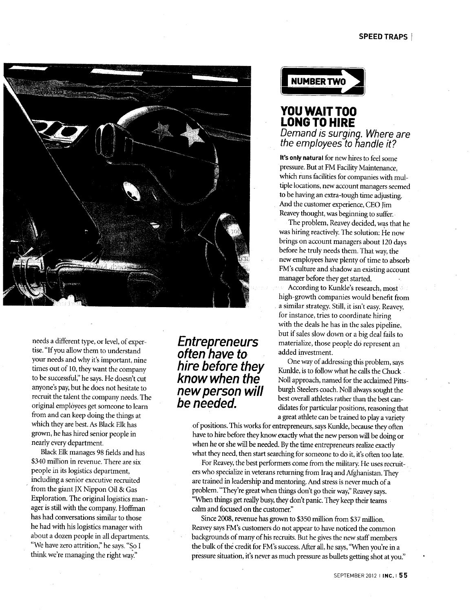#### **SPEED TRAPS**



needs a different type, or level, of expertise. "If you allow them to understand your needs and why it's important, nine times out of 10, they want the company to be successful," he says. He doesn't cut anyone's pay, but he does not hesitate to recruit the talent the company needs. The original employees get someone to learn from and can keep doing the things at which they are best. As Black Elk has grown, he has hired senior people in nearly every department.

Black Elk manages 98 fields and has \$340 million in revenue. There are six people in its logistics department, including a senior executive recruited from the giant JX Nippon Oil & Gas Exploration. The original logistics manager is still with the company. Hoffman has had conversations similar to those he had with his logistics manager with about a dozen people in all departments. "We have zero attrition," he says. "So I think we're managing the right way."

**Entrepreneurs** often have to hire before they know when the new person will be needed.

**NUMBER TWO** 

### **YOU WAIT TOO LONG TO HIRE** Demand is surging. Where are the employees to handle it?

**It's only natural** for new hires to feel some pressure. But at FM Facility Maintenance, which runs facilities for companies with multiple locations, new account managers seemed to be having an extra-tough time adjusting. And the customer experience, CEO Jim Reavey thought, was beginning to suffer.

The problem, Reavey decided, was that he was hiring reactively. The solution: He now brings on account managers about 120 days before he truly needs them. That way, the new employees have plenty of time to absorb FM's culture and shadow an existing account manager before they get started.

According to Kunkle's research, most high-growth companies would benefit from a similar strategy. Still, it isn't easy. Reavey, for instance, tries to coordinate hiring with the deals he has in the sales pipeline, but if sales slow down or a big deal fails to materialize, those people do represent an added investment.

One way of addressing this problem, says Kunkle, is to follow what he calls the Chuck Noll approach, named for the acclaimed Pittsburgh Steelers coach. Noll always sought the best overall athletes rather than the best candidates for particular positions, reasoning that a great athlete can be trained to play a variety

of positions. This works for entrepreneurs, says Kunkle, because they often have to hire before they know exactly what the new person will be doing or when he or she will be needed. By the time entrepreneurs realize exactly what they need, then start searching for someone to do it, it's often too late.

For Reavey, the best performers come from the military. He uses recruiters who specialize in veterans returning from Iraq and Afghanistan. They are trained in leadership and mentoring. And stress is never much of a problem. "They're great when things don't go their way," Reavey says. "When things get really busy, they don't panic. They keep their teams calm and focused on the customer."

Since 2008, revenue has grown to \$350 million from \$37 million. Reavey says FM's customers do not appear to have noticed the common backgrounds of many of his recruits. But he gives the new staff members the bulk of the credit for FM's success. After all, he says, "When you're in a pressure situation, it's never as much pressure as bullets getting shot at you."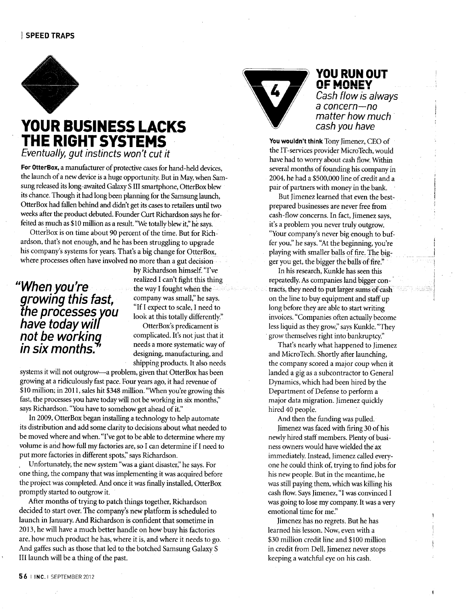

# **YOUR BUSINESS LACKS THE RIGHT SYSTEMS** Eventually, gut instincts won't cut it

*For* **OtterBox,** a manufacturer of protective cases for hand-held devices, the launch of a new device is a huge opportunity. But in May, when Samsung released its long-awaited Galaxy S III smartphone, OtterBox blew its chance. Though it had long been planning for the Samsung launch, OtterBox had fallen behind and didn't get its cases to retailers until two weeks after the product debuted. Founder Curt Richardson says he forfeited as much as \$10 million as a result. "We totally blew it," he says.

OtterBox is on time about 90 percent of the time. But for Richardson, that's not enough, and he has been struggling to upgrade his company's systems for years. That's a big change for OtterBox, where processes often have involved no more than a gut decision

# "Whenyou're the processes you have today will not be working in six months.

by Richardson himself. "I've realized I can't fight this thing the way I fought when the company was small," he says. "If I expect to scale, I need to look at this totally differently."

OtterBox's predicament is complicated. It's not just that it needs a more systematic way of designing, manufacturing, and shipping products. It also needs

systems it will not outgrow—a problem, given that OtterBox has been growing at a ridiculously fast pace. Four years ago, it had revenue of \$10 million; in 2011, sales hit \$348 million. "When you're growing this fast, the processes you have today will not be working in six months," says Richardson. "You have to somehow get ahead of it."

In 2009, OtterBox began installing a technology to help automate its distribution and add some clarity to decisions about what needed to be moved where and when. "I've got to be able to determine where my volume is and how full my factories are, so I can determine if I need to put more factories in different spots," says Richardson.

Unfortunately, the new system "was a giant disaster," he says. For one thing, the company that was implementing it was acquired before the project was completed. And once it was finally installed, OtterBox promptly started to outgrow it.

After months of trying to patch things together, Richardson decided to start over. The company's new platform is scheduled to launch in January. And Richardson is confident that sometime in 2013, he will have a much better handle on how busy his factories are, how much product he has, where it is, and where it needs to go. And gaffes such as those that led to the botched Samsung Galaxy S III launch will be a thing of the past.



## **YOU RUN OUT OF MONEY**

Cash flow is always a concern—no matter how much cash you have

**You wouldn't think** Tony Jimenez, CEO of the IT-services provider MicroTech, would have had to worry about cash flow. Within several months of founding his company in 2004, he had a \$500,000 line of credit and a pair of partners with money in the bank.

But Jimenez learned that even the bestprepared businesses are never free from cash-flow concerns. In fact, Jimenez says, it's a problem you never truly outgrow. "Your company's never big enough to buffer you," he says. "At the beginning, you're playing with smaller balls of fire. The bigger you get, the bigger the balls of fire."

In his research, Kunkle has seen this repeatedly. As companies land bigger contracts, they need to put larger sumsof cash on the line to buy equipment and staff up long before they are able to start writing invoices. "Companies often actually become less liquid as they grow," says Kunkle. "They grow themselves right into bankruptcy."

That's nearly what happened to Jimenez and MicroTech. Shortly after launching, the company scored a major coup when it landed a gig as a subcontractor to General Dynamics, which had been hired by the Department of Defense to perform a major data migration. Jimenez quickly hired 40 people.

And then the funding was pulled. Jimenez was faced with firing 30 of his newly hired staff members. Plenty of business owners would have wielded the ax immediately. Instead, Jimenez called everyone he could think of, trying to find jobs for his new people. But in the meantime, he was still paying them, which was killing his cash flow. Says Jimenez, "I was convinced I was going to lose my company. It was a very emotional time for me."

Jimenez has no regrets. But he has learned his lesson. Now, even with a \$30 million credit line and \$100 million in credit from Dell, Jimenez never stops keeping a watchful eye on his cash.